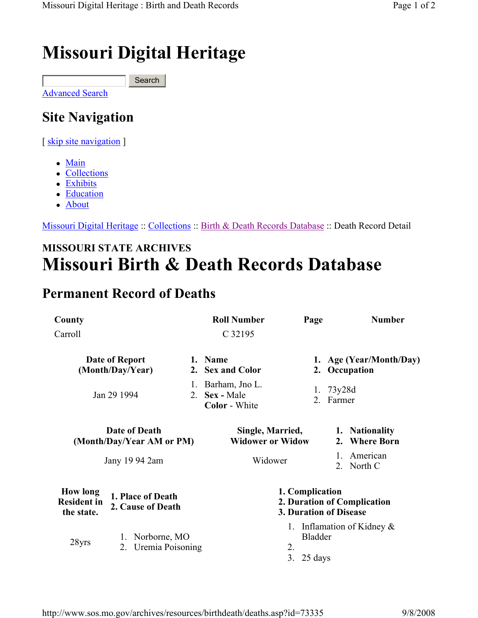## Missouri Digital Heritage

Advanced Search **Search** 

## Site Navigation

[ skip site navigation ]

- Main
- Collections
- Exhibits
- Education
- About

Missouri Digital Heritage :: Collections :: Birth & Death Records Database :: Death Record Detail

## MISSOURI STATE ARCHIVES Missouri Birth & Death Records Database

## Permanent Record of Deaths

| County<br>Carroll                                   |                                              |         | <b>Roll Number</b><br>C 32195                                            | Page                                                                   | <b>Number</b>                            |
|-----------------------------------------------------|----------------------------------------------|---------|--------------------------------------------------------------------------|------------------------------------------------------------------------|------------------------------------------|
| Date of Report<br>(Month/Day/Year)                  |                                              |         | 1. Name<br>2. Sex and Color                                              |                                                                        | 1. Age (Year/Month/Day)<br>2. Occupation |
| Jan 29 1994                                         |                                              | 1.<br>2 | Barham, Jno L.<br>Sex - Male<br><b>Color</b> - White                     |                                                                        | 1. $73y28d$<br>2. Farmer                 |
| Date of Death<br>(Month/Day/Year AM or PM)          |                                              |         | Single, Married,<br><b>Widower or Widow</b>                              |                                                                        | 1. Nationality<br>2. Where Born          |
| Jany 19 94 2am                                      |                                              | Widower |                                                                          | American<br>2. North C                                                 |                                          |
| <b>How long</b><br><b>Resident in</b><br>the state. | 1. Place of Death<br>2. Cause of Death       |         | 1. Complication<br>2. Duration of Complication<br>3. Duration of Disease |                                                                        |                                          |
| 28yrs                                               | Norborne, MO<br>1.<br>Uremia Poisoning<br>2. |         |                                                                          | 1. Inflamation of Kidney $\&$<br><b>Bladder</b><br>2.<br>3.<br>25 days |                                          |